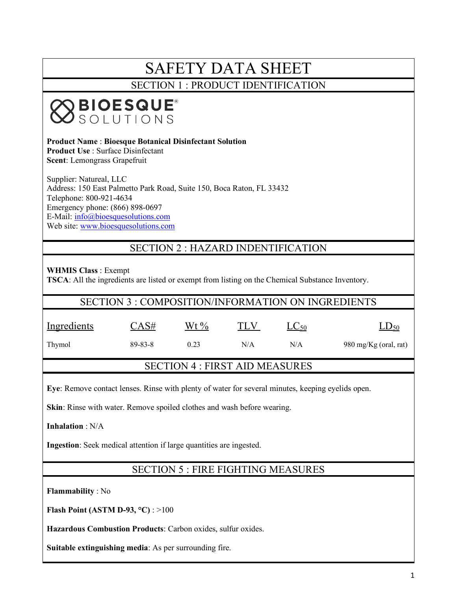# SAFETY DATA SHEET

SECTION 1 : PRODUCT IDENTIFICATION

# **BIOESQUE<sup>®</sup>**<br>SSOLUTIONS

**Product Name** : **Bioesque Botanical Disinfectant Solution Product Use** : Surface Disinfectant **Scent**: Lemongrass Grapefruit

Supplier: Natureal, LLC Address: 150 East Palmetto Park Road, Suite 150, Boca Raton, FL 33432 Telephone: 800-921-4634 Emergency phone: (866) 898-0697 E-Mail: info@bioesquesolutions.com Web site: www.bioesquesolutions.com

# SECTION 2 : HAZARD INDENTIFICATION

**WHMIS Class** : Exempt **TSCA**: All the ingredients are listed or exempt from listing on the Chemical Substance Inventory.

| SECTION 3 : COMPOSITION/INFORMATION ON INGREDIENTS |  |
|----------------------------------------------------|--|
|                                                    |  |

| Ingredients | CAS#          | Wt $\%$ | TLV | $LC_{50}$ | $LD_{50}$             |
|-------------|---------------|---------|-----|-----------|-----------------------|
| Thymol      | $89 - 83 - 8$ | 0.23    | N/A | N/A       | 980 mg/Kg (oral, rat) |

# SECTION 4 : FIRST AID MEASURES

**Eye**: Remove contact lenses. Rinse with plenty of water for several minutes, keeping eyelids open.

**Skin**: Rinse with water. Remove spoiled clothes and wash before wearing.

**Inhalation** : N/A

**Ingestion**: Seek medical attention if large quantities are ingested.

# SECTION 5 : FIRE FIGHTING MEASURES

**Flammability** : No

**Flash Point (ASTM D-93, °C)** : >100

**Hazardous Combustion Products**: Carbon oxides, sulfur oxides.

**Suitable extinguishing media**: As per surrounding fire.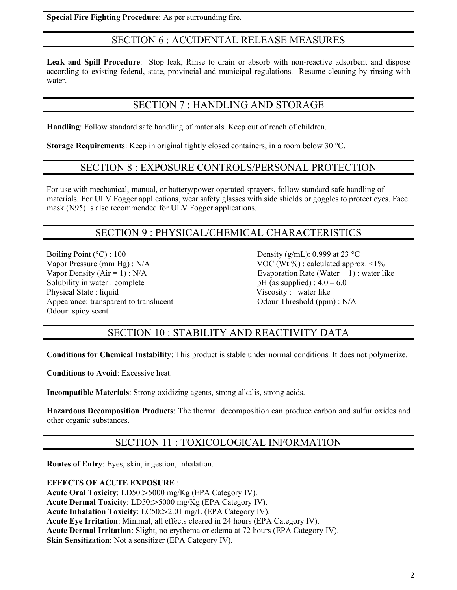**Special Fire Fighting Procedure**: As per surrounding fire.

# SECTION 6 : ACCIDENTAL RELEASE MEASURES

**Leak and Spill Procedure**: Stop leak, Rinse to drain or absorb with non-reactive adsorbent and dispose according to existing federal, state, provincial and municipal regulations. Resume cleaning by rinsing with water

# SECTION 7 : HANDLING AND STORAGE

**Handling**: Follow standard safe handling of materials. Keep out of reach of children.

**Storage Requirements**: Keep in original tightly closed containers, in a room below 30 °C.

#### SECTION 8 : EXPOSURE CONTROLS/PERSONAL PROTECTION

For use with mechanical, manual, or battery/power operated sprayers, follow standard safe handling of materials. For ULV Fogger applications, wear safety glasses with side shields or goggles to protect eyes. Face mask (N95) is also recommended for ULV Fogger applications.

# SECTION 9 : PHYSICAL/CHEMICAL CHARACTERISTICS

Boiling Point ( $^{\circ}$ C) : 100 Density (g/mL): 0.999 at 23  $^{\circ}$ C Solubility in water : complete pH  $(a)$  supplied) :  $4.0 - 6.0$ Physical State : liquid Viscosity : water like Appearance: transparent to translucent Odour Threshold (ppm) : N/A Odour: spicy scent

Vapor Pressure (mm Hg) : N/A VOC (Wt %) : calculated approx. <1% Vapor Density  $(Air = 1)$ :  $N/A$  Evaporation Rate (Water + 1) : water like

# SECTION 10 : STABILITY AND REACTIVITY DATA

**Conditions for Chemical Instability**: This product is stable under normal conditions. It does not polymerize.

**Conditions to Avoid**: Excessive heat.

**Incompatible Materials**: Strong oxidizing agents, strong alkalis, strong acids.

**Hazardous Decomposition Products**: The thermal decomposition can produce carbon and sulfur oxides and other organic substances.

# SECTION 11 : TOXICOLOGICAL INFORMATION

**Routes of Entry**: Eyes, skin, ingestion, inhalation.

**EFFECTS OF ACUTE EXPOSURE** : **Acute Oral Toxicity**: LD50:>5000 mg/Kg (EPA Category IV). **Acute Dermal Toxicity**: LD50:>5000 mg/Kg (EPA Category IV). **Acute Inhalation Toxicity**: LC50:>2.01 mg/L (EPA Category IV). **Acute Eye Irritation**: Minimal, all effects cleared in 24 hours (EPA Category IV). **Acute Dermal Irritation**: Slight, no erythema or edema at 72 hours (EPA Category IV). **Skin Sensitization**: Not a sensitizer (EPA Category IV).